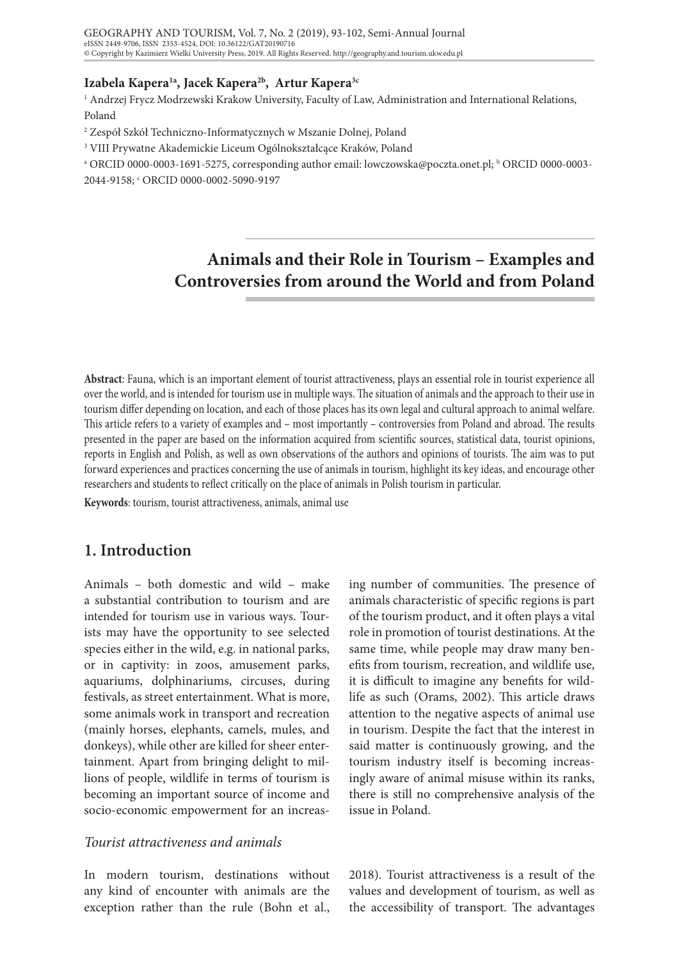#### **Izabela Kapera1a, Jacek Kapera2b, Artur Kapera3c**

1 Andrzej Frycz Modrzewski Krakow University, Faculty of Law, Administration and International Relations, Poland

- 2 Zespół Szkół Techniczno-Informatycznych w Mszanie Dolnej, Poland
- 3 VIII Prywatne Akademickie Liceum Ogólnokształcące Kraków, Poland
- a ORCID 0000-0003-1691-5275, corresponding author email: lowczowska@poczta.onet.pl; b ORCID 0000-0003- 2044-9158; c ORCID 0000-0002-5090-9197

# **Animals and their Role in Tourism – Examples and Controversies from around the World and from Poland**

**Abstract**: Fauna, which is an important element of tourist attractiveness, plays an essential role in tourist experience all over the world, and is intended for tourism use in multiple ways. The situation of animals and the approach to their use in tourism differ depending on location, and each of those places has its own legal and cultural approach to animal welfare. This article refers to a variety of examples and – most importantly – controversies from Poland and abroad. The results presented in the paper are based on the information acquired from scientific sources, statistical data, tourist opinions, reports in English and Polish, as well as own observations of the authors and opinions of tourists. The aim was to put forward experiences and practices concerning the use of animals in tourism, highlight its key ideas, and encourage other researchers and students to reflect critically on the place of animals in Polish tourism in particular.

Keywords: tourism, tourist attractiveness, animals, animal use

## **1. Introduction**

Animals – both domestic and wild – make a substantial contribution to tourism and are intended for tourism use in various ways. Tourists may have the opportunity to see selected species either in the wild, e.g. in national parks, or in captivity: in zoos, amusement parks, aquariums, dolphinariums, circuses, during festivals, as street entertainment. What is more, some animals work in transport and recreation (mainly horses, elephants, camels, mules, and donkeys), while other are killed for sheer entertainment. Apart from bringing delight to millions of people, wildlife in terms of tourism is becoming an important source of income and socio-economic empowerment for an increas-

## *Tourist attractiveness and animals*

In modern tourism, destinations without any kind of encounter with animals are the exception rather than the rule (Bohn et al.,

ing number of communities. The presence of animals characteristic of specific regions is part of the tourism product, and it often plays a vital role in promotion of tourist destinations. At the same time, while people may draw many benefits from tourism, recreation, and wildlife use, it is difficult to imagine any benefits for wildlife as such (Orams, 2002). This article draws attention to the negative aspects of animal use in tourism. Despite the fact that the interest in said matter is continuously growing, and the tourism industry itself is becoming increasingly aware of animal misuse within its ranks, there is still no comprehensive analysis of the issue in Poland.

2018). Tourist attractiveness is a result of the values and development of tourism, as well as the accessibility of transport. The advantages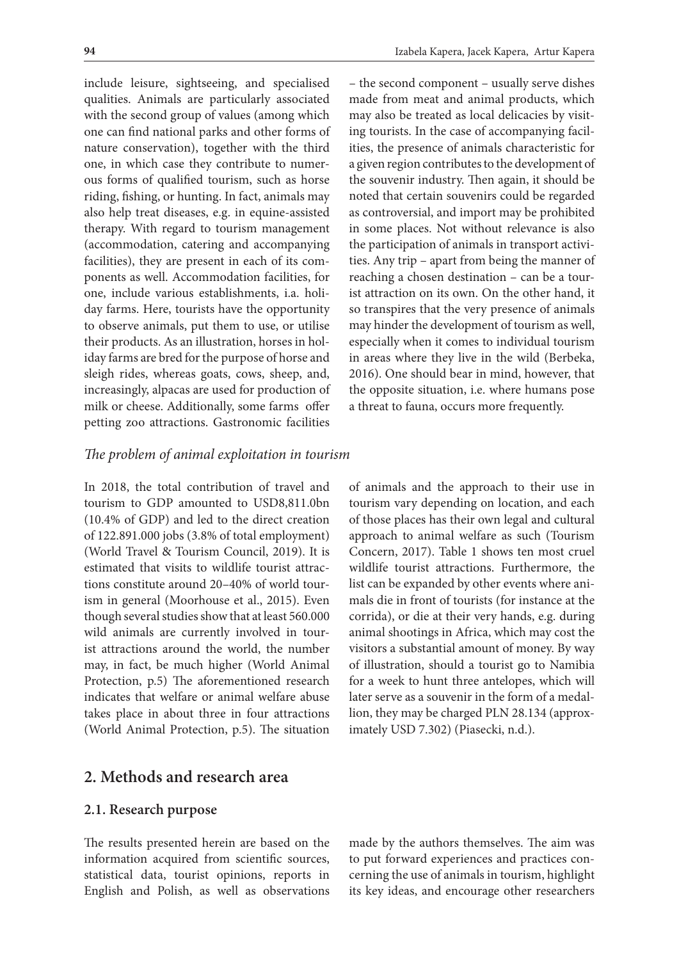include leisure, sightseeing, and specialised qualities. Animals are particularly associated with the second group of values (among which one can find national parks and other forms of nature conservation), together with the third one, in which case they contribute to numerous forms of qualified tourism, such as horse riding, fishing, or hunting. In fact, animals may also help treat diseases, e.g. in equine-assisted therapy. With regard to tourism management (accommodation, catering and accompanying facilities), they are present in each of its components as well. Accommodation facilities, for one, include various establishments, i.a. holiday farms. Here, tourists have the opportunity to observe animals, put them to use, or utilise their products. As an illustration, horses in holiday farms are bred for the purpose of horse and sleigh rides, whereas goats, cows, sheep, and, increasingly, alpacas are used for production of milk or cheese. Additionally, some farms offer petting zoo attractions. Gastronomic facilities

– the second component – usually serve dishes made from meat and animal products, which may also be treated as local delicacies by visiting tourists. In the case of accompanying facilities, the presence of animals characteristic for a given region contributes to the development of the souvenir industry. Then again, it should be noted that certain souvenirs could be regarded as controversial, and import may be prohibited in some places. Not without relevance is also the participation of animals in transport activities. Any trip – apart from being the manner of reaching a chosen destination – can be a tourist attraction on its own. On the other hand, it so transpires that the very presence of animals may hinder the development of tourism as well, especially when it comes to individual tourism in areas where they live in the wild (Berbeka, 2016). One should bear in mind, however, that the opposite situation, i.e. where humans pose a threat to fauna, occurs more frequently.

#### *The problem of animal exploitation in tourism*

In 2018, the total contribution of travel and tourism to GDP amounted to USD8,811.0bn (10.4% of GDP) and led to the direct creation of 122.891.000 jobs (3.8% of total employment) (World Travel & Tourism Council, 2019). It is estimated that visits to wildlife tourist attractions constitute around 20–40% of world tourism in general (Moorhouse et al., 2015). Even though several studies show that at least 560.000 wild animals are currently involved in tourist attractions around the world, the number may, in fact, be much higher (World Animal Protection, p.5) The aforementioned research indicates that welfare or animal welfare abuse takes place in about three in four attractions (World Animal Protection, p.5). The situation

of animals and the approach to their use in tourism vary depending on location, and each of those places has their own legal and cultural approach to animal welfare as such (Tourism Concern, 2017). Table 1 shows ten most cruel wildlife tourist attractions. Furthermore, the list can be expanded by other events where animals die in front of tourists (for instance at the corrida), or die at their very hands, e.g. during animal shootings in Africa, which may cost the visitors a substantial amount of money. By way of illustration, should a tourist go to Namibia for a week to hunt three antelopes, which will later serve as a souvenir in the form of a medallion, they may be charged PLN 28.134 (approximately USD 7.302) (Piasecki, n.d.).

## **2. Methods and research area**

#### **2.1. Research purpose**

The results presented herein are based on the information acquired from scientific sources, statistical data, tourist opinions, reports in English and Polish, as well as observations

made by the authors themselves. The aim was to put forward experiences and practices concerning the use of animals in tourism, highlight its key ideas, and encourage other researchers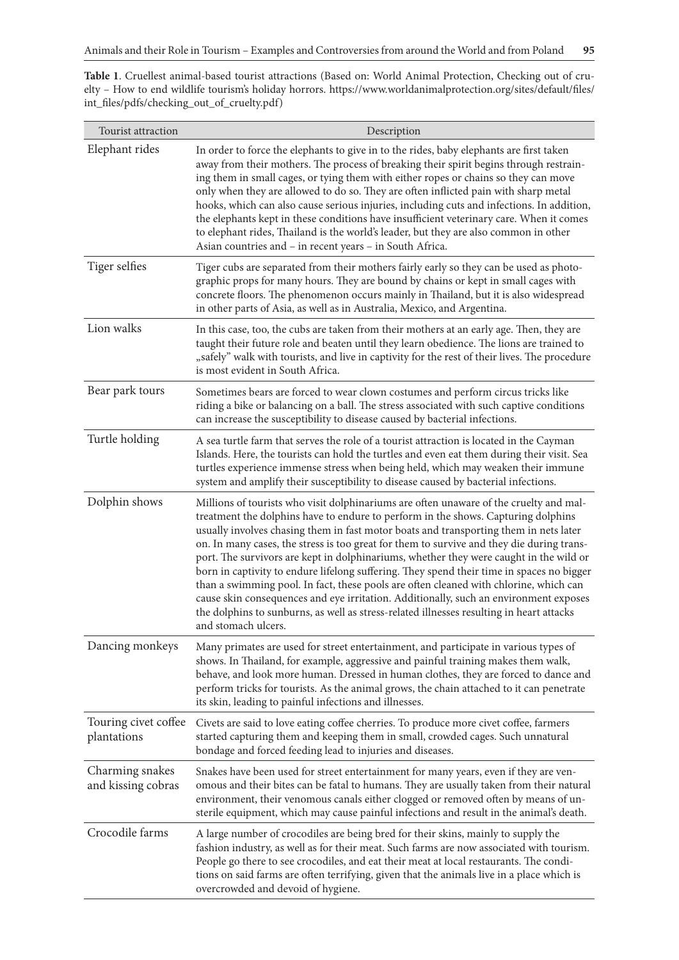**Table 1**. Cruellest animal-based tourist attractions (Based on: World Animal Protection, Checking out of cruelty – How to end wildlife tourism's holiday horrors. https://www.worldanimalprotection.org/sites/default/files/ int\_files/pdfs/checking\_out\_of\_cruelty.pdf)

| Tourist attraction                    | Description                                                                                                                                                                                                                                                                                                                                                                                                                                                                                                                                                                                                                                                                                                                                                                                                                                                   |
|---------------------------------------|---------------------------------------------------------------------------------------------------------------------------------------------------------------------------------------------------------------------------------------------------------------------------------------------------------------------------------------------------------------------------------------------------------------------------------------------------------------------------------------------------------------------------------------------------------------------------------------------------------------------------------------------------------------------------------------------------------------------------------------------------------------------------------------------------------------------------------------------------------------|
| Elephant rides                        | In order to force the elephants to give in to the rides, baby elephants are first taken<br>away from their mothers. The process of breaking their spirit begins through restrain-<br>ing them in small cages, or tying them with either ropes or chains so they can move<br>only when they are allowed to do so. They are often inflicted pain with sharp metal<br>hooks, which can also cause serious injuries, including cuts and infections. In addition,<br>the elephants kept in these conditions have insufficient veterinary care. When it comes<br>to elephant rides, Thailand is the world's leader, but they are also common in other<br>Asian countries and - in recent years - in South Africa.                                                                                                                                                   |
| Tiger selfies                         | Tiger cubs are separated from their mothers fairly early so they can be used as photo-<br>graphic props for many hours. They are bound by chains or kept in small cages with<br>concrete floors. The phenomenon occurs mainly in Thailand, but it is also widespread<br>in other parts of Asia, as well as in Australia, Mexico, and Argentina.                                                                                                                                                                                                                                                                                                                                                                                                                                                                                                               |
| Lion walks                            | In this case, too, the cubs are taken from their mothers at an early age. Then, they are<br>taught their future role and beaten until they learn obedience. The lions are trained to<br>"safely" walk with tourists, and live in captivity for the rest of their lives. The procedure<br>is most evident in South Africa.                                                                                                                                                                                                                                                                                                                                                                                                                                                                                                                                     |
| Bear park tours                       | Sometimes bears are forced to wear clown costumes and perform circus tricks like<br>riding a bike or balancing on a ball. The stress associated with such captive conditions<br>can increase the susceptibility to disease caused by bacterial infections.                                                                                                                                                                                                                                                                                                                                                                                                                                                                                                                                                                                                    |
| Turtle holding                        | A sea turtle farm that serves the role of a tourist attraction is located in the Cayman<br>Islands. Here, the tourists can hold the turtles and even eat them during their visit. Sea<br>turtles experience immense stress when being held, which may weaken their immune<br>system and amplify their susceptibility to disease caused by bacterial infections.                                                                                                                                                                                                                                                                                                                                                                                                                                                                                               |
| Dolphin shows                         | Millions of tourists who visit dolphinariums are often unaware of the cruelty and mal-<br>treatment the dolphins have to endure to perform in the shows. Capturing dolphins<br>usually involves chasing them in fast motor boats and transporting them in nets later<br>on. In many cases, the stress is too great for them to survive and they die during trans-<br>port. The survivors are kept in dolphinariums, whether they were caught in the wild or<br>born in captivity to endure lifelong suffering. They spend their time in spaces no bigger<br>than a swimming pool. In fact, these pools are often cleaned with chlorine, which can<br>cause skin consequences and eye irritation. Additionally, such an environment exposes<br>the dolphins to sunburns, as well as stress-related illnesses resulting in heart attacks<br>and stomach ulcers. |
| Dancing monkeys                       | Many primates are used for street entertainment, and participate in various types of<br>shows. In Thailand, for example, aggressive and painful training makes them walk,<br>behave, and look more human. Dressed in human clothes, they are forced to dance and<br>perform tricks for tourists. As the animal grows, the chain attached to it can penetrate<br>its skin, leading to painful infections and illnesses.                                                                                                                                                                                                                                                                                                                                                                                                                                        |
| Touring civet coffee<br>plantations   | Civets are said to love eating coffee cherries. To produce more civet coffee, farmers<br>started capturing them and keeping them in small, crowded cages. Such unnatural<br>bondage and forced feeding lead to injuries and diseases.                                                                                                                                                                                                                                                                                                                                                                                                                                                                                                                                                                                                                         |
| Charming snakes<br>and kissing cobras | Snakes have been used for street entertainment for many years, even if they are ven-<br>omous and their bites can be fatal to humans. They are usually taken from their natural<br>environment, their venomous canals either clogged or removed often by means of un-<br>sterile equipment, which may cause painful infections and result in the animal's death.                                                                                                                                                                                                                                                                                                                                                                                                                                                                                              |
| Crocodile farms                       | A large number of crocodiles are being bred for their skins, mainly to supply the<br>fashion industry, as well as for their meat. Such farms are now associated with tourism.<br>People go there to see crocodiles, and eat their meat at local restaurants. The condi-<br>tions on said farms are often terrifying, given that the animals live in a place which is<br>overcrowded and devoid of hygiene.                                                                                                                                                                                                                                                                                                                                                                                                                                                    |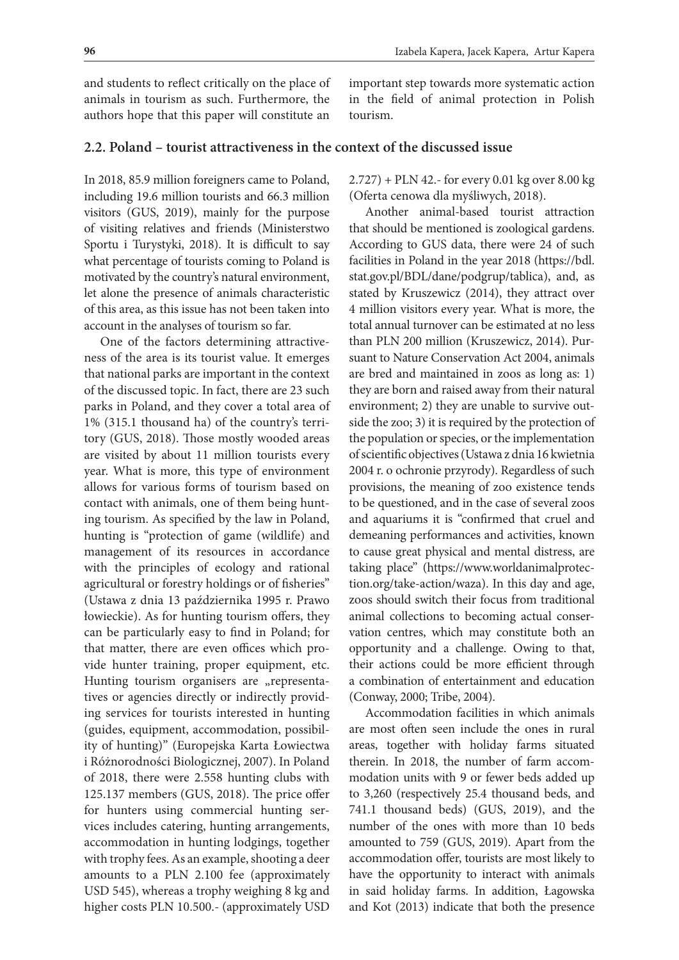and students to reflect critically on the place of animals in tourism as such. Furthermore, the authors hope that this paper will constitute an

important step towards more systematic action in the field of animal protection in Polish tourism.

#### **2.2. Poland – tourist attractiveness in the context of the discussed issue**

In 2018, 85.9 million foreigners came to Poland, including 19.6 million tourists and 66.3 million visitors (GUS, 2019), mainly for the purpose of visiting relatives and friends (Ministerstwo Sportu i Turystyki, 2018). It is difficult to say what percentage of tourists coming to Poland is motivated by the country's natural environment, let alone the presence of animals characteristic of this area, as this issue has not been taken into account in the analyses of tourism so far.

One of the factors determining attractiveness of the area is its tourist value. It emerges that national parks are important in the context of the discussed topic. In fact, there are 23 such parks in Poland, and they cover a total area of 1% (315.1 thousand ha) of the country's territory (GUS, 2018). Those mostly wooded areas are visited by about 11 million tourists every year. What is more, this type of environment allows for various forms of tourism based on contact with animals, one of them being hunting tourism. As specified by the law in Poland, hunting is "protection of game (wildlife) and management of its resources in accordance with the principles of ecology and rational agricultural or forestry holdings or of fisheries" (Ustawa z dnia 13 października 1995 r. Prawo łowieckie). As for hunting tourism offers, they can be particularly easy to find in Poland; for that matter, there are even offices which provide hunter training, proper equipment, etc. Hunting tourism organisers are "representatives or agencies directly or indirectly providing services for tourists interested in hunting (guides, equipment, accommodation, possibility of hunting)" (Europejska Karta Łowiectwa i Różnorodności Biologicznej, 2007). In Poland of 2018, there were 2.558 hunting clubs with 125.137 members (GUS, 2018). The price offer for hunters using commercial hunting services includes catering, hunting arrangements, accommodation in hunting lodgings, together with trophy fees. As an example, shooting a deer amounts to a PLN 2.100 fee (approximately USD 545), whereas a trophy weighing 8 kg and higher costs PLN 10.500.- (approximately USD

2.727) + PLN 42.- for every 0.01 kg over 8.00 kg (Oferta cenowa dla myśliwych, 2018).

Another animal-based tourist attraction that should be mentioned is zoological gardens. According to GUS data, there were 24 of such facilities in Poland in the year 2018 (https://bdl. stat.gov.pl/BDL/dane/podgrup/tablica), and, as stated by Kruszewicz (2014), they attract over 4 million visitors every year. What is more, the total annual turnover can be estimated at no less than PLN 200 million (Kruszewicz, 2014). Pursuant to Nature Conservation Act 2004, animals are bred and maintained in zoos as long as: 1) they are born and raised away from their natural environment; 2) they are unable to survive outside the zoo; 3) it is required by the protection of the population or species, or the implementation of scientific objectives (Ustawa z dnia 16 kwietnia 2004 r. o ochronie przyrody). Regardless of such provisions, the meaning of zoo existence tends to be questioned, and in the case of several zoos and aquariums it is "confirmed that cruel and demeaning performances and activities, known to cause great physical and mental distress, are taking place" (https://www.worldanimalprotection.org/take-action/waza). In this day and age, zoos should switch their focus from traditional animal collections to becoming actual conservation centres, which may constitute both an opportunity and a challenge. Owing to that, their actions could be more efficient through a combination of entertainment and education (Conway, 2000; Tribe, 2004).

Accommodation facilities in which animals are most often seen include the ones in rural areas, together with holiday farms situated therein. In 2018, the number of farm accommodation units with 9 or fewer beds added up to 3,260 (respectively 25.4 thousand beds, and 741.1 thousand beds) (GUS, 2019), and the number of the ones with more than 10 beds amounted to 759 (GUS, 2019). Apart from the accommodation offer, tourists are most likely to have the opportunity to interact with animals in said holiday farms. In addition, Łagowska and Kot (2013) indicate that both the presence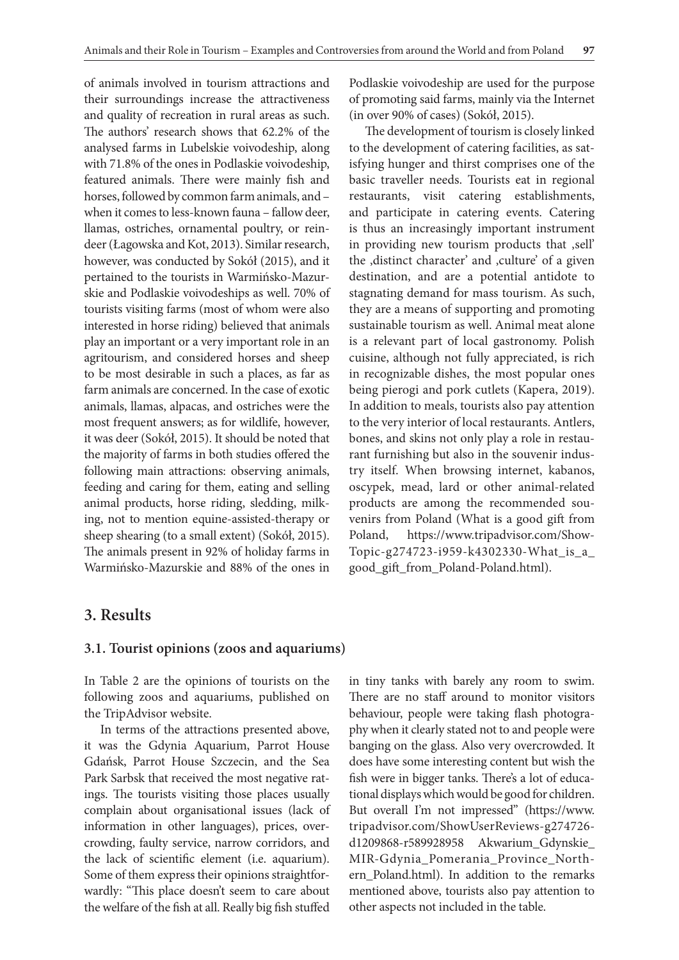of animals involved in tourism attractions and their surroundings increase the attractiveness and quality of recreation in rural areas as such. The authors' research shows that 62.2% of the analysed farms in Lubelskie voivodeship, along with 71.8% of the ones in Podlaskie voivodeship, featured animals. There were mainly fish and horses, followed by common farm animals, and – when it comes to less-known fauna – fallow deer, llamas, ostriches, ornamental poultry, or reindeer (Łagowska and Kot, 2013). Similar research, however, was conducted by Sokół (2015), and it pertained to the tourists in Warmińsko-Mazurskie and Podlaskie voivodeships as well. 70% of tourists visiting farms (most of whom were also interested in horse riding) believed that animals play an important or a very important role in an agritourism, and considered horses and sheep to be most desirable in such a places, as far as farm animals are concerned. In the case of exotic animals, llamas, alpacas, and ostriches were the most frequent answers; as for wildlife, however, it was deer (Sokół, 2015). It should be noted that the majority of farms in both studies offered the following main attractions: observing animals, feeding and caring for them, eating and selling animal products, horse riding, sledding, milking, not to mention equine-assisted-therapy or sheep shearing (to a small extent) (Sokół, 2015). The animals present in 92% of holiday farms in Warmińsko-Mazurskie and 88% of the ones in

Podlaskie voivodeship are used for the purpose of promoting said farms, mainly via the Internet (in over 90% of cases) (Sokół, 2015).

The development of tourism is closely linked to the development of catering facilities, as satisfying hunger and thirst comprises one of the basic traveller needs. Tourists eat in regional restaurants, visit catering establishments, and participate in catering events. Catering is thus an increasingly important instrument in providing new tourism products that ,sell' the ,distinct character' and ,culture' of a given destination, and are a potential antidote to stagnating demand for mass tourism. As such, they are a means of supporting and promoting sustainable tourism as well. Animal meat alone is a relevant part of local gastronomy. Polish cuisine, although not fully appreciated, is rich in recognizable dishes, the most popular ones being pierogi and pork cutlets (Kapera, 2019). In addition to meals, tourists also pay attention to the very interior of local restaurants. Antlers, bones, and skins not only play a role in restaurant furnishing but also in the souvenir industry itself. When browsing internet, kabanos, oscypek, mead, lard or other animal-related products are among the recommended souvenirs from Poland (What is a good gift from Poland, https://www.tripadvisor.com/Show-Topic-g274723-i959-k4302330-What\_is\_a\_ good\_gift\_from\_Poland-Poland.html).

## **3. Results**

#### **3.1. Tourist opinions (zoos and aquariums)**

In Table 2 are the opinions of tourists on the following zoos and aquariums, published on the TripAdvisor website.

In terms of the attractions presented above, it was the Gdynia Aquarium, Parrot House Gdańsk, Parrot House Szczecin, and the Sea Park Sarbsk that received the most negative ratings. The tourists visiting those places usually complain about organisational issues (lack of information in other languages), prices, overcrowding, faulty service, narrow corridors, and the lack of scientific element (i.e. aquarium). Some of them express their opinions straightforwardly: "This place doesn't seem to care about the welfare of the fish at all. Really big fish stuffed

in tiny tanks with barely any room to swim. There are no staff around to monitor visitors behaviour, people were taking flash photography when it clearly stated not to and people were banging on the glass. Also very overcrowded. It does have some interesting content but wish the fish were in bigger tanks. There's a lot of educational displays which would be good for children. But overall I'm not impressed" (https://www. tripadvisor.com/ShowUserReviews-g274726 d1209868-r589928958 Akwarium\_Gdynskie\_ MIR-Gdynia\_Pomerania\_Province\_Northern\_Poland.html). In addition to the remarks mentioned above, tourists also pay attention to other aspects not included in the table.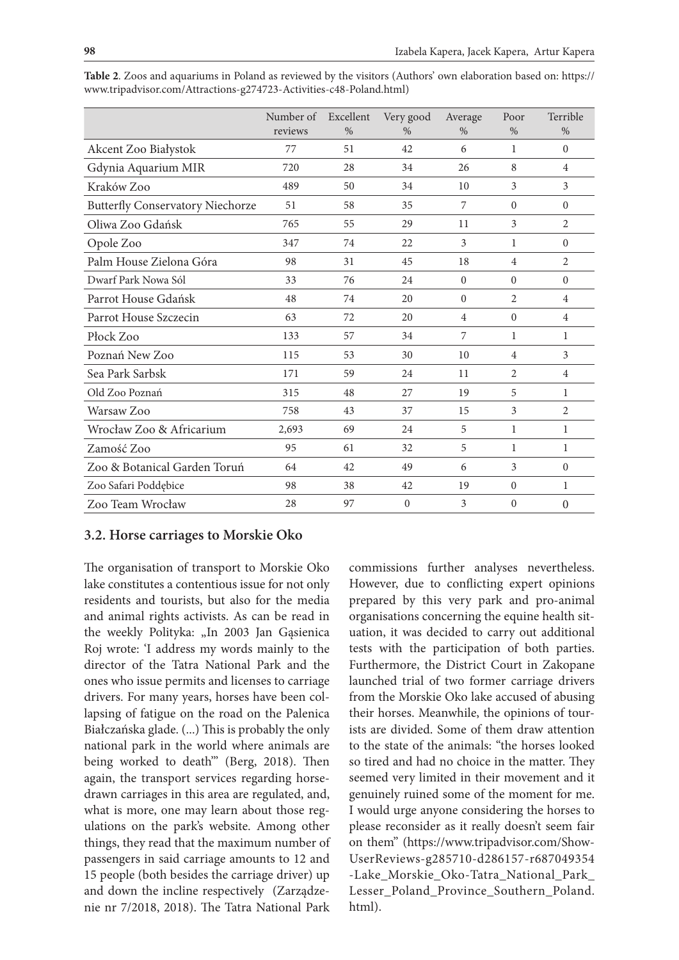|                                         | Number of<br>reviews | Excellent<br>$\%$ | Very good<br>$\%$ | Average<br>$\%$ | Poor<br>$\%$   | Terrible<br>$\%$ |
|-----------------------------------------|----------------------|-------------------|-------------------|-----------------|----------------|------------------|
| Akcent Zoo Białystok                    | 77                   | 51                | 42                | 6               | 1              | $\mathbf{0}$     |
| Gdynia Aquarium MIR                     | 720                  | 28                | 34                | 26              | 8              | $\overline{4}$   |
| Kraków Zoo                              | 489                  | 50                | 34                | 10              | 3              | 3                |
| <b>Butterfly Conservatory Niechorze</b> | 51                   | 58                | 35                | 7               | $\Omega$       | $\mathbf{0}$     |
| Oliwa Zoo Gdańsk                        | 765                  | 55                | 29                | 11              | 3              | $\overline{2}$   |
| Opole Zoo                               | 347                  | 74                | 22                | 3               | 1              | $\mathbf{0}$     |
| Palm House Zielona Góra                 | 98                   | 31                | 45                | 18              | $\overline{4}$ | $\overline{2}$   |
| Dwarf Park Nowa Sól                     | 33                   | 76                | 24                | $\mathbf{0}$    | $\overline{0}$ | $\mathbf{0}$     |
| Parrot House Gdańsk                     | 48                   | 74                | 20                | $\Omega$        | 2              | 4                |
| Parrot House Szczecin                   | 63                   | 72                | 20                | $\overline{4}$  | $\theta$       | 4                |
| Płock Zoo                               | 133                  | 57                | 34                | 7               | 1              | 1                |
| Poznań New Zoo                          | 115                  | 53                | 30                | 10              | $\overline{4}$ | 3                |
| Sea Park Sarbsk                         | 171                  | 59                | 24                | 11              | 2              | $\overline{4}$   |
| Old Zoo Poznań                          | 315                  | 48                | 27                | 19              | 5              | 1                |
| Warsaw Zoo                              | 758                  | 43                | 37                | 15              | 3              | $\overline{2}$   |
| Wrocław Zoo & Africarium                | 2,693                | 69                | 24                | 5               | 1              | 1                |
| Zamość Zoo                              | 95                   | 61                | 32                | 5               | 1              | 1                |
| Zoo & Botanical Garden Toruń            | 64                   | 42                | 49                | 6               | 3              | $\Omega$         |
| Zoo Safari Poddębice                    | 98                   | 38                | 42                | 19              | $\theta$       | $\mathbf{1}$     |
| Zoo Team Wrocław                        | 28                   | 97                | $\mathbf{0}$      | 3               | $\theta$       | $\mathbf{0}$     |

**Table 2**. Zoos and aquariums in Poland as reviewed by the visitors (Authors' own elaboration based on: https:// www.tripadvisor.com/Attractions-g274723-Activities-c48-Poland.html)

## **3.2. Horse carriages to Morskie Oko**

The organisation of transport to Morskie Oko lake constitutes a contentious issue for not only residents and tourists, but also for the media and animal rights activists. As can be read in the weekly Polityka: "In 2003 Jan Gąsienica Roj wrote: 'I address my words mainly to the director of the Tatra National Park and the ones who issue permits and licenses to carriage drivers. For many years, horses have been collapsing of fatigue on the road on the Palenica Białczańska glade. (...) This is probably the only national park in the world where animals are being worked to death'" (Berg, 2018). Then again, the transport services regarding horsedrawn carriages in this area are regulated, and, what is more, one may learn about those regulations on the park's website. Among other things, they read that the maximum number of passengers in said carriage amounts to 12 and 15 people (both besides the carriage driver) up and down the incline respectively (Zarządzenie nr 7/2018, 2018). The Tatra National Park

commissions further analyses nevertheless. However, due to conflicting expert opinions prepared by this very park and pro-animal organisations concerning the equine health situation, it was decided to carry out additional tests with the participation of both parties. Furthermore, the District Court in Zakopane launched trial of two former carriage drivers from the Morskie Oko lake accused of abusing their horses. Meanwhile, the opinions of tourists are divided. Some of them draw attention to the state of the animals: "the horses looked so tired and had no choice in the matter. They seemed very limited in their movement and it genuinely ruined some of the moment for me. I would urge anyone considering the horses to please reconsider as it really doesn't seem fair on them" (https://www.tripadvisor.com/Show-UserReviews-g285710-d286157-r687049354 -Lake\_Morskie\_Oko-Tatra\_National\_Park\_ Lesser\_Poland\_Province\_Southern\_Poland. html).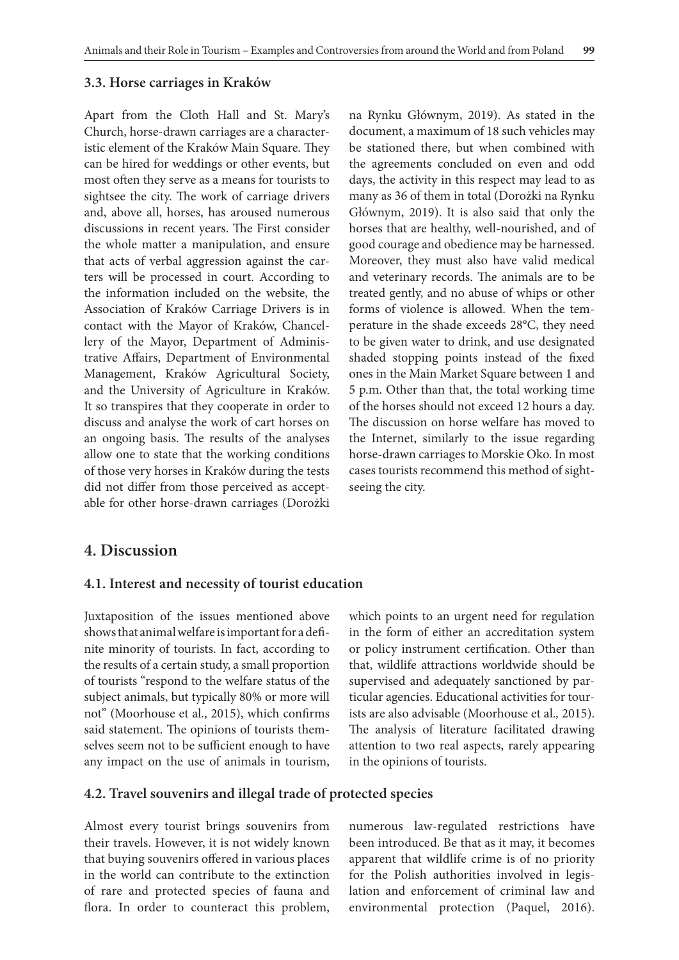#### **3.3. Horse carriages in Kraków**

Apart from the Cloth Hall and St. Mary's Church, horse-drawn carriages are a characteristic element of the Kraków Main Square. They can be hired for weddings or other events, but most often they serve as a means for tourists to sightsee the city. The work of carriage drivers and, above all, horses, has aroused numerous discussions in recent years. The First consider the whole matter a manipulation, and ensure that acts of verbal aggression against the carters will be processed in court. According to the information included on the website, the Association of Kraków Carriage Drivers is in contact with the Mayor of Kraków, Chancellery of the Mayor, Department of Administrative Affairs, Department of Environmental Management, Kraków Agricultural Society, and the University of Agriculture in Kraków. It so transpires that they cooperate in order to discuss and analyse the work of cart horses on an ongoing basis. The results of the analyses allow one to state that the working conditions of those very horses in Kraków during the tests did not differ from those perceived as acceptable for other horse-drawn carriages (Dorożki na Rynku Głównym, 2019). As stated in the document, a maximum of 18 such vehicles may be stationed there, but when combined with the agreements concluded on even and odd days, the activity in this respect may lead to as many as 36 of them in total (Dorożki na Rynku Głównym, 2019). It is also said that only the horses that are healthy, well-nourished, and of good courage and obedience may be harnessed. Moreover, they must also have valid medical and veterinary records. The animals are to be treated gently, and no abuse of whips or other forms of violence is allowed. When the temperature in the shade exceeds 28°C, they need to be given water to drink, and use designated shaded stopping points instead of the fixed ones in the Main Market Square between 1 and 5 p.m. Other than that, the total working time of the horses should not exceed 12 hours a day. The discussion on horse welfare has moved to the Internet, similarly to the issue regarding horse-drawn carriages to Morskie Oko. In most cases tourists recommend this method of sightseeing the city.

## **4. Discussion**

#### **4.1. Interest and necessity of tourist education**

Juxtaposition of the issues mentioned above shows that animal welfare is important for a definite minority of tourists. In fact, according to the results of a certain study, a small proportion of tourists "respond to the welfare status of the subject animals, but typically 80% or more will not" (Moorhouse et al., 2015), which confirms said statement. The opinions of tourists themselves seem not to be sufficient enough to have any impact on the use of animals in tourism, which points to an urgent need for regulation in the form of either an accreditation system or policy instrument certification. Other than that, wildlife attractions worldwide should be supervised and adequately sanctioned by particular agencies. Educational activities for tourists are also advisable (Moorhouse et al.*,* 2015). The analysis of literature facilitated drawing attention to two real aspects, rarely appearing in the opinions of tourists.

#### **4.2. Travel souvenirs and illegal trade of protected species**

Almost every tourist brings souvenirs from their travels. However, it is not widely known that buying souvenirs offered in various places in the world can contribute to the extinction of rare and protected species of fauna and flora. In order to counteract this problem,

numerous law-regulated restrictions have been introduced. Be that as it may, it becomes apparent that wildlife crime is of no priority for the Polish authorities involved in legislation and enforcement of criminal law and environmental protection (Paquel, 2016).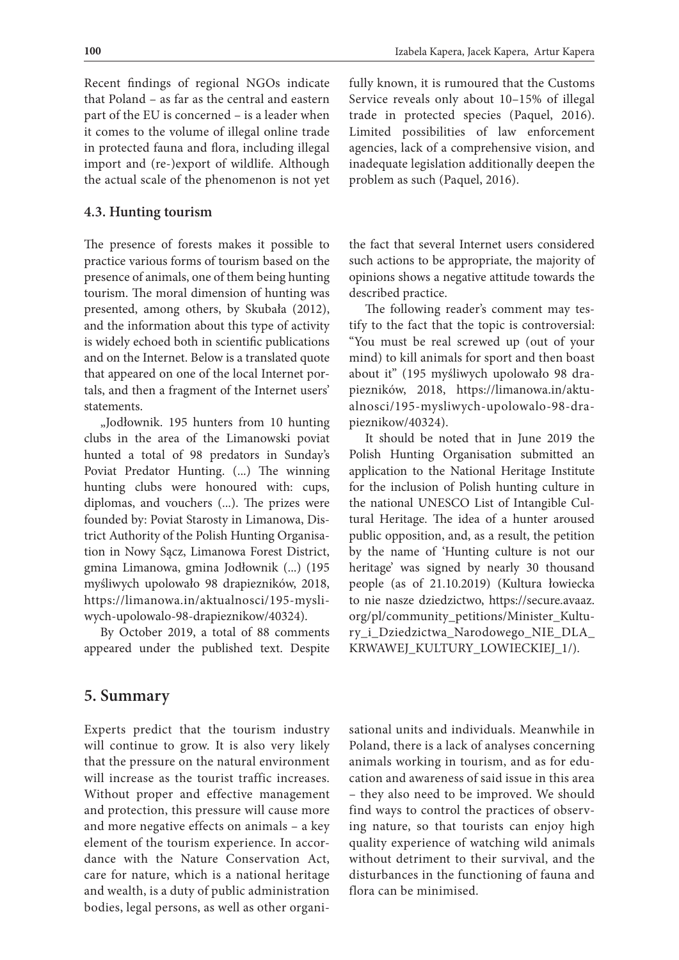Recent findings of regional NGOs indicate that Poland – as far as the central and eastern part of the EU is concerned – is a leader when it comes to the volume of illegal online trade in protected fauna and flora, including illegal import and (re-)export of wildlife. Although the actual scale of the phenomenon is not yet

#### **4.3. Hunting tourism**

The presence of forests makes it possible to practice various forms of tourism based on the presence of animals, one of them being hunting tourism. The moral dimension of hunting was presented, among others, by Skubała (2012), and the information about this type of activity is widely echoed both in scientific publications and on the Internet. Below is a translated quote that appeared on one of the local Internet portals, and then a fragment of the Internet users' statements.

"Jodłownik. 195 hunters from 10 hunting clubs in the area of the Limanowski poviat hunted a total of 98 predators in Sunday's Poviat Predator Hunting. (...) The winning hunting clubs were honoured with: cups, diplomas, and vouchers (...). The prizes were founded by: Poviat Starosty in Limanowa, District Authority of the Polish Hunting Organisation in Nowy Sącz, Limanowa Forest District, gmina Limanowa, gmina Jodłownik (...) (195 myśliwych upolowało 98 drapiezników, 2018, https://limanowa.in/aktualnosci/195-mysliwych-upolowalo-98-drapieznikow/40324).

By October 2019, a total of 88 comments appeared under the published text. Despite

## fully known, it is rumoured that the Customs Service reveals only about 10–15% of illegal trade in protected species (Paquel, 2016). Limited possibilities of law enforcement agencies, lack of a comprehensive vision, and inadequate legislation additionally deepen the problem as such (Paquel, 2016).

the fact that several Internet users considered such actions to be appropriate, the majority of opinions shows a negative attitude towards the described practice.

The following reader's comment may testify to the fact that the topic is controversial: "You must be real screwed up (out of your mind) to kill animals for sport and then boast about it" (195 myśliwych upolowało 98 drapiezników, 2018, https://limanowa.in/aktualnosci/195-mysliwych-upolowalo-98-drapieznikow/40324).

It should be noted that in June 2019 the Polish Hunting Organisation submitted an application to the National Heritage Institute for the inclusion of Polish hunting culture in the national UNESCO List of Intangible Cultural Heritage. The idea of a hunter aroused public opposition, and, as a result, the petition by the name of 'Hunting culture is not our heritage' was signed by nearly 30 thousand people (as of 21.10.2019) (Kultura łowiecka to nie nasze dziedzictwo, https://secure.avaaz. org/pl/community\_petitions/Minister\_Kultury\_i\_Dziedzictwa\_Narodowego\_NIE\_DLA\_ KRWAWEJ\_KULTURY\_LOWIECKIEJ\_1/).

## **5. Summary**

Experts predict that the tourism industry will continue to grow. It is also very likely that the pressure on the natural environment will increase as the tourist traffic increases. Without proper and effective management and protection, this pressure will cause more and more negative effects on animals – a key element of the tourism experience. In accordance with the Nature Conservation Act, care for nature, which is a national heritage and wealth, is a duty of public administration bodies, legal persons, as well as other organisational units and individuals. Meanwhile in Poland, there is a lack of analyses concerning animals working in tourism, and as for education and awareness of said issue in this area – they also need to be improved. We should find ways to control the practices of observing nature, so that tourists can enjoy high quality experience of watching wild animals without detriment to their survival, and the disturbances in the functioning of fauna and flora can be minimised.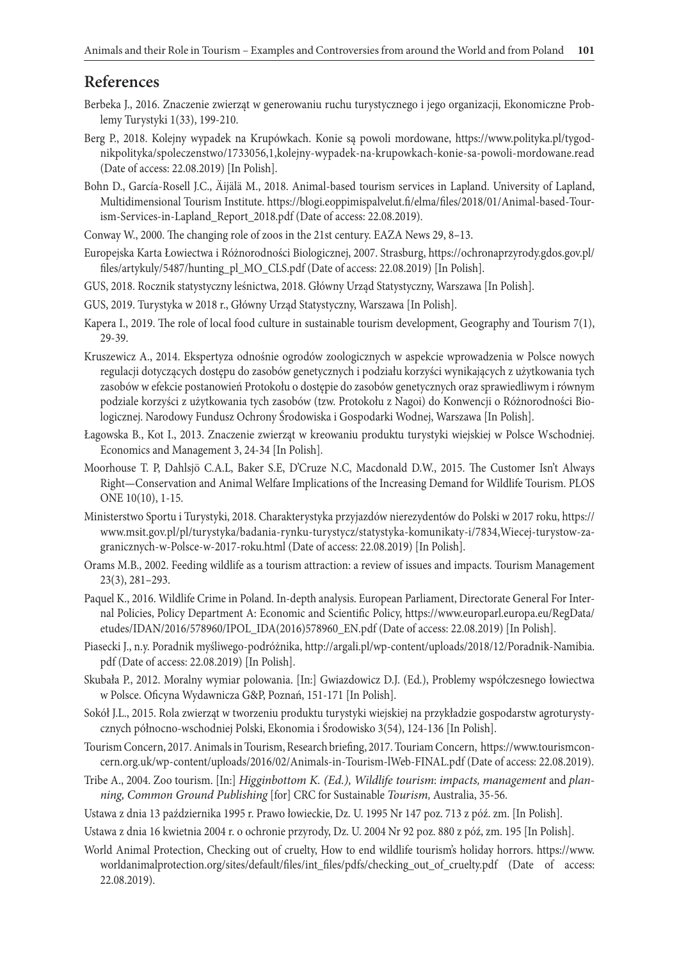## **References**

- Berbeka J., 2016. Znaczenie zwierząt w generowaniu ruchu turystycznego i jego organizacji, Ekonomiczne Problemy Turystyki 1(33), 199-210.
- Berg P., 2018. Kolejny wypadek na Krupówkach. Konie są powoli mordowane, https://www.polityka.pl/tygodnikpolityka/spoleczenstwo/1733056,1,kolejny-wypadek-na-krupowkach-konie-sa-powoli-mordowane.read (Date of access: 22.08.2019) [In Polish].
- Bohn D., García-Rosell J.C., Äijälä M., 2018. Animal-based tourism services in Lapland. University of Lapland, Multidimensional Tourism Institute. https://blogi.eoppimispalvelut.fi/elma/files/2018/01/Animal-based-Tourism-Services-in-Lapland\_Report\_2018.pdf (Date of access: 22.08.2019).
- Conway W., 2000. The changing role of zoos in the 21st century. EAZA News 29, 8–13.
- Europejska Karta Łowiectwa i Różnorodności Biologicznej, 2007. Strasburg, https://ochronaprzyrody.gdos.gov.pl/ files/artykuly/5487/hunting\_pl\_MO\_CLS.pdf (Date of access: 22.08.2019) [In Polish].
- GUS, 2018. Rocznik statystyczny leśnictwa, 2018. Główny Urząd Statystyczny, Warszawa [In Polish].
- GUS, 2019. Turystyka w 2018 r., Główny Urząd Statystyczny, Warszawa [In Polish].
- Kapera I., 2019. The role of local food culture in sustainable tourism development, Geography and Tourism 7(1), 29-39.
- Kruszewicz A., 2014. Ekspertyza odnośnie ogrodów zoologicznych w aspekcie wprowadzenia w Polsce nowych regulacji dotyczących dostępu do zasobów genetycznych i podziału korzyści wynikających z użytkowania tych zasobów w efekcie postanowień Protokołu o dostępie do zasobów genetycznych oraz sprawiedliwym i równym podziale korzyści z użytkowania tych zasobów (tzw. Protokołu z Nagoi) do Konwencji o Różnorodności Biologicznej. Narodowy Fundusz Ochrony Środowiska i Gospodarki Wodnej, Warszawa [In Polish].
- Łagowska B., Kot I., 2013. Znaczenie zwierząt w kreowaniu produktu turystyki wiejskiej w Polsce Wschodniej. Economics and Management 3, 24-34 [In Polish].
- Moorhouse T. P, Dahlsjö C.A.L, Baker S.E, D'Cruze N.C, Macdonald D.W., 2015. The Customer Isn't Always Right—Conservation and Animal Welfare Implications of the Increasing Demand for Wildlife Tourism. PLOS ONE 10(10), 1-15.
- Ministerstwo Sportu i Turystyki, 2018. Charakterystyka przyjazdów nierezydentów do Polski w 2017 roku, https:// www.msit.gov.pl/pl/turystyka/badania-rynku-turystycz/statystyka-komunikaty-i/7834,Wiecej-turystow-zagranicznych-w-Polsce-w-2017-roku.html (Date of access: 22.08.2019) [In Polish].
- Orams M.B., 2002. Feeding wildlife as a tourism attraction: a review of issues and impacts. Tourism Management 23(3), 281–293.
- Paquel K., 2016. Wildlife Crime in Poland. In-depth analysis. European Parliament, Directorate General For Internal Policies, Policy Department A: Economic and Scientific Policy, https://www.europarl.europa.eu/RegData/ etudes/IDAN/2016/578960/IPOL\_IDA(2016)578960\_EN.pdf (Date of access: 22.08.2019) [In Polish].
- Piasecki J., n.y. Poradnik myśliwego-podróżnika, http://argali.pl/wp-content/uploads/2018/12/Poradnik-Namibia. pdf (Date of access: 22.08.2019) [In Polish].
- Skubała P., 2012. Moralny wymiar polowania. [In:] Gwiazdowicz D.J. (Ed.), Problemy współczesnego łowiectwa w Polsce. Oficyna Wydawnicza G&P, Poznań, 151-171 [In Polish].
- Sokół J.L., 2015. Rola zwierząt w tworzeniu produktu turystyki wiejskiej na przykładzie gospodarstw agroturystycznych północno-wschodniej Polski, Ekonomia i Środowisko 3(54), 124-136 [In Polish].
- Tourism Concern, 2017. Animals in Tourism, Research briefing, 2017. Touriam Concern, https://www.tourismconcern.org.uk/wp-content/uploads/2016/02/Animals-in-Tourism-lWeb-FINAL.pdf (Date of access: 22.08.2019).
- Tribe A., 2004. Zoo tourism. [In:] *Higginbottom K. (Ed.), Wildlife tourism*: *impacts, management* and *planning, Common Ground Publishing* [for] CRC for Sustainable *Tourism,* Australia, 35-56.
- Ustawa z dnia 13 października 1995 r. Prawo łowieckie, Dz. U. 1995 Nr 147 poz. 713 z póź. zm. [In Polish].
- Ustawa z dnia 16 kwietnia 2004 r. o ochronie przyrody, Dz. U. 2004 Nr 92 poz. 880 z póź, zm. 195 [In Polish].
- World Animal Protection, Checking out of cruelty, How to end wildlife tourism's holiday horrors. https://www. worldanimalprotection.org/sites/default/files/int\_files/pdfs/checking\_out\_of\_cruelty.pdf (Date of access: 22.08.2019).